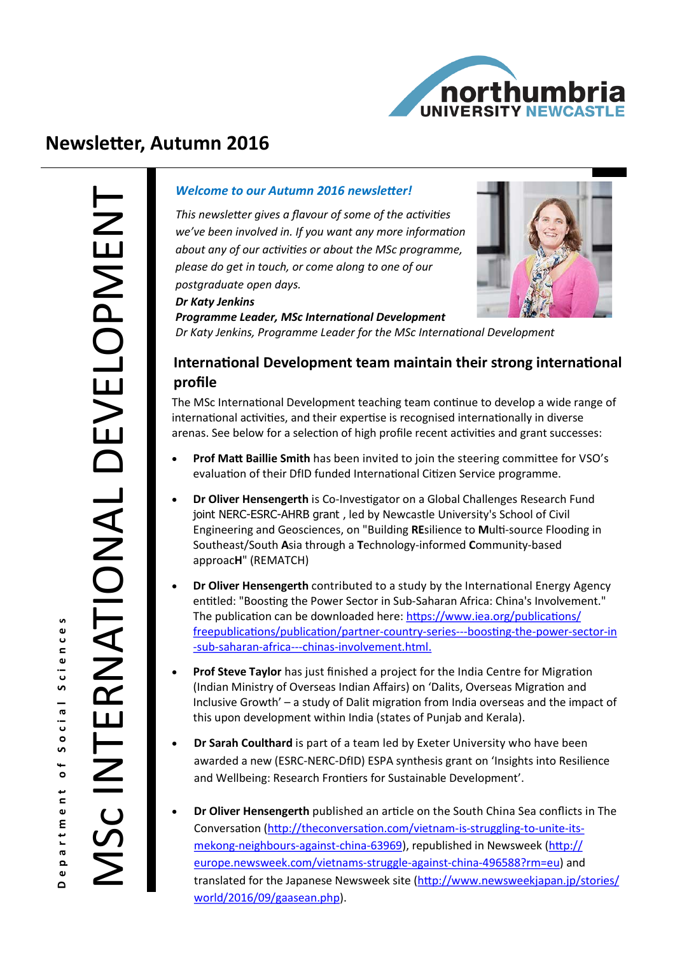

# **Newsletter, Autumn 2016**

*Dr Katy Jenkins*

#### *Welcome to our Autumn 2016 newsletter!*

*This newsletter gives a flavour of some of the activities we've been involved in. If you want any more information about any of our activities or about the MSc programme, please do get in touch, or come along to one of our postgraduate open days.*



*Programme Leader, MSc International Development Dr Katy Jenkins, Programme Leader for the MSc International Development*

## **International Development team maintain their strong international profile**

The MSc International Development teaching team continue to develop a wide range of international activities, and their expertise is recognised internationally in diverse arenas. See below for a selection of high profile recent activities and grant successes:

- **Prof Matt Baillie Smith** has been invited to join the steering committee for VSO's evaluation of their DfID funded International Citizen Service programme.
- **Dr Oliver Hensengerth** is Co-Investigator on a Global Challenges Research Fund joint NERC-ESRC-AHRB grant , led by Newcastle University's School of Civil Engineering and Geosciences, on "Building **RE**silience to **M**ulti-source Flooding in Southeast/South **A**sia through a **T**echnology-informed **C**ommunity-based approac**H**" (REMATCH)
- **Dr Oliver Hensengerth** contributed to a study by the International Energy Agency entitled: "Boosting the Power Sector in Sub-Saharan Africa: China's Involvement." The publication can be downloaded here: [https://www.iea.org/publications/](https://www.iea.org/publications/freepublications/publication/partner-country-series---boosting-the-power-sector-in-sub-saharan-africa---chinas-involvement.html.) [freepublications/publication/partner](https://www.iea.org/publications/freepublications/publication/partner-country-series---boosting-the-power-sector-in-sub-saharan-africa---chinas-involvement.html.)-country-series---boosting-the-power-sector-in -sub-saharan-africa---chinas-[involvement.html.](https://www.iea.org/publications/freepublications/publication/partner-country-series---boosting-the-power-sector-in-sub-saharan-africa---chinas-involvement.html.)
- **Prof Steve Taylor** has just finished a project for the India Centre for Migration (Indian Ministry of Overseas Indian Affairs) on 'Dalits, Overseas Migration and Inclusive Growth' – a study of Dalit migration from India overseas and the impact of this upon development within India (states of Punjab and Kerala).
- **Dr Sarah Coulthard** is part of a team led by Exeter University who have been awarded a new (ESRC-NERC-DfID) ESPA synthesis grant on 'Insights into Resilience and Wellbeing: Research Frontiers for Sustainable Development'.
- **Dr Oliver Hensengerth** published an article on the South China Sea conflicts in The Conversation [\(http://theconversation.com/vietnam](http://theconversation.com/vietnam-is-struggling-to-unite-its-mekong-neighbours-against-china-63969)-is-struggling-to-unite-itsmekong-[neighbours](http://theconversation.com/vietnam-is-struggling-to-unite-its-mekong-neighbours-against-china-63969)-against-china-63969), republished in Newsweek [\(http://](http://europe.newsweek.com/vietnams-struggle-against-china-496588?rm=eu) [europe.newsweek.com/vietnams](http://europe.newsweek.com/vietnams-struggle-against-china-496588?rm=eu)-struggle-against-china-496588?rm=eu) and translated for the Japanese Newsweek site [\(http://www.newsweekjapan.jp/stories/](http://www.newsweekjapan.jp/stories/world/2016/09/gaasean.php) [world/2016/09/gaasean.php\)](http://www.newsweekjapan.jp/stories/world/2016/09/gaasean.php).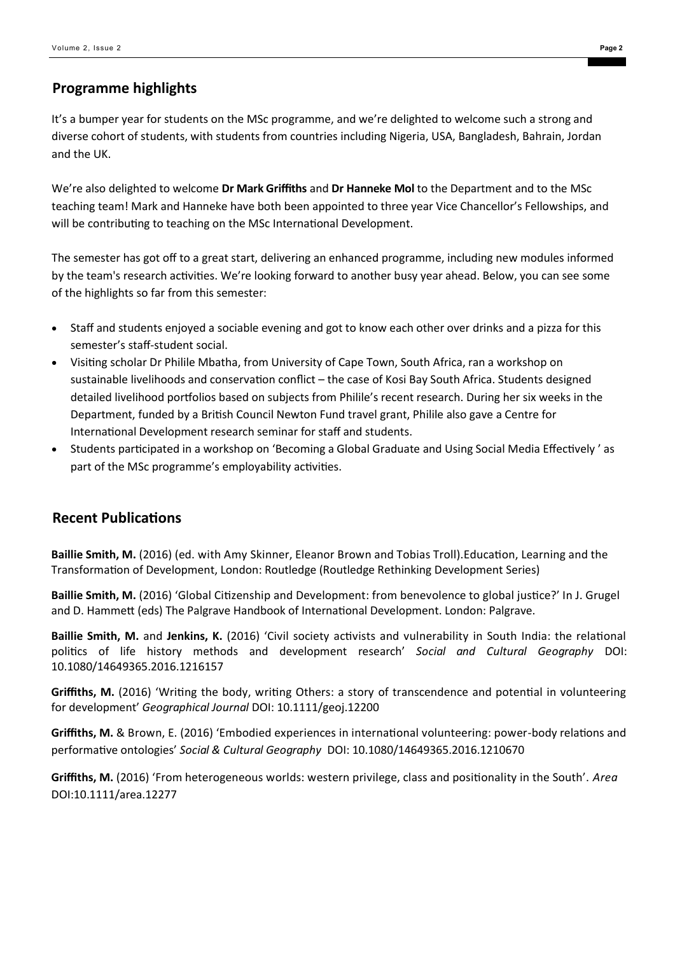### **Programme highlights**

It's a bumper year for students on the MSc programme, and we're delighted to welcome such a strong and diverse cohort of students, with students from countries including Nigeria, USA, Bangladesh, Bahrain, Jordan and the UK.

We're also delighted to welcome **Dr Mark Griffiths** and **Dr Hanneke Mol** to the Department and to the MSc teaching team! Mark and Hanneke have both been appointed to three year Vice Chancellor's Fellowships, and will be contributing to teaching on the MSc International Development.

The semester has got off to a great start, delivering an enhanced programme, including new modules informed by the team's research activities. We're looking forward to another busy year ahead. Below, you can see some of the highlights so far from this semester:

- Staff and students enjoyed a sociable evening and got to know each other over drinks and a pizza for this semester's staff-student social.
- Visiting scholar Dr Philile Mbatha, from University of Cape Town, South Africa, ran a workshop on sustainable livelihoods and conservation conflict – the case of Kosi Bay South Africa. Students designed detailed livelihood portfolios based on subjects from Philile's recent research. During her six weeks in the Department, funded by a British Council Newton Fund travel grant, Philile also gave a Centre for International Development research seminar for staff and students.
- Students participated in a workshop on 'Becoming a Global Graduate and Using Social Media Effectively ' as part of the MSc programme's employability activities.

#### **Recent Publications**

**Baillie Smith, M.** (2016) (ed. with Amy Skinner, Eleanor Brown and Tobias Troll).Education, Learning and the Transformation of Development, London: Routledge (Routledge Rethinking Development Series)

**Baillie Smith, M.** (2016) 'Global Citizenship and Development: from benevolence to global justice?' In J. Grugel and D. Hammett (eds) The Palgrave Handbook of International Development. London: Palgrave.

**Baillie Smith, M.** and **Jenkins, K.** (2016) 'Civil society activists and vulnerability in South India: the relational politics of life history methods and development research' *Social and Cultural Geography* DOI: 10.1080/14649365.2016.1216157

**Griffiths, M.** (2016) 'Writing the body, writing Others: a story of transcendence and potential in volunteering for development' *Geographical Journal* DOI: 10.1111/geoj.12200

**Griffiths, M.** & Brown, E. (2016) 'Embodied experiences in international volunteering: power-body relations and performative ontologies' *Social & Cultural Geography* DOI: 10.1080/14649365.2016.1210670

**Griffiths, M.** (2016) 'From heterogeneous worlds: western privilege, class and positionality in the South'. *Area* DOI:10.1111/area.12277